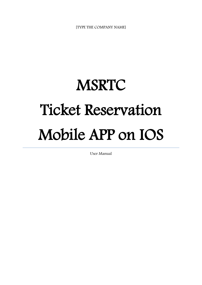[TYPE THE COMPANY NAME]

## **MSRTC** Ticket Reservation Mobile APP on IOS

User Manual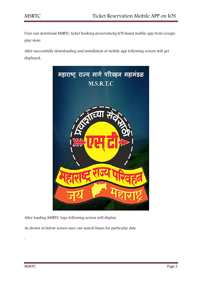User can download MSRTC ticket booking (reservation) IOS based mobile app from Google play store.

After successfully downloading and installation of mobile app following screen will get displayed,



After loading MSRTC logo following screen will display

As shown in below screen user can search buses for particular date.

,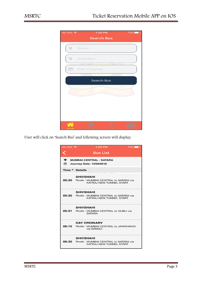

User will click on 'Search Bus' and following screen will display,

| No SIM デ | $1:28$ PM<br>$74\%$                                                                             |  |
|----------|-------------------------------------------------------------------------------------------------|--|
|          | <b>Bus List</b>                                                                                 |  |
| ≑<br>⇔   | <b>MUMBAI CENTRAL - SATARA</b><br><b>Journey Date: 13/09/2018</b>                               |  |
|          | Time <sup>▲</sup> Details                                                                       |  |
|          | <b>SHIVSHAHI</b><br><b>00:30</b> Route: MUMBAI CENTRAL to SATARA via<br>KATRAJ NEW TUNNEL START |  |
|          | <b>SHIVSHAHI</b><br>05:30 Route: MUMBAI CENTRAL to SATARA via<br>KATRAJ NEW TUNNEL START        |  |
|          | <b>SHIVSHAHI</b><br>05:31 Route: MUMBAI CENTRAL to HUBLI via<br><b>SATARA</b>                   |  |
|          | <b>DAY ORDINARY</b><br>06:15 Route: MUMBAI CENTRAL to JAMKHANDI<br>via SANGLI                   |  |
|          | <b>SHIVSHAHI</b><br>06:30 Route: MUMBAI CENTRAL to SATARA via<br>KATRAJ NEW TUNNEL START        |  |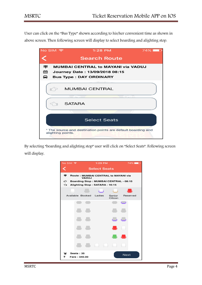User can click on the "Bus Type" shown according to his/her convenient time as shown in above screen. Then following screen will display to select boarding and alighting stop.



By selecting "boarding and alighting stop" user will click on "Select Seats". Following screen will display,

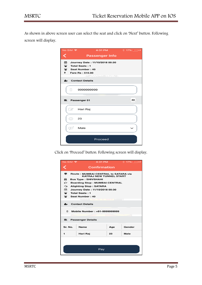As shown in above screen user can select the seat and click on 'Next' button. Following screen will display,

| No SIM デ                                        | 4:31 PM                                                              | $\frac{1}{2}$ $\frac{1}{2}$ $\frac{1}{2}$ $\frac{1}{2}$ $\frac{1}{2}$ $\frac{1}{2}$ $\frac{1}{2}$ $\frac{1}{2}$ $\frac{1}{2}$ $\frac{1}{2}$ $\frac{1}{2}$ $\frac{1}{2}$ $\frac{1}{2}$ $\frac{1}{2}$ $\frac{1}{2}$ $\frac{1}{2}$ $\frac{1}{2}$ $\frac{1}{2}$ $\frac{1}{2}$ $\frac{1}{2}$ $\frac{1}{2}$ $\frac{1}{2}$ |
|-------------------------------------------------|----------------------------------------------------------------------|---------------------------------------------------------------------------------------------------------------------------------------------------------------------------------------------------------------------------------------------------------------------------------------------------------------------|
|                                                 | <b>Passenger Info</b>                                                |                                                                                                                                                                                                                                                                                                                     |
| âń.<br>₩ Total Seats: 1<br>Seat Number: 40<br>₹ | Journey Date: 11/10/2018 00:30<br>Fare Rs: 510.00<br><b>YOU MAKE</b> |                                                                                                                                                                                                                                                                                                                     |
| ዲ Contact Details                               |                                                                      |                                                                                                                                                                                                                                                                                                                     |
|                                                 | 999999999                                                            |                                                                                                                                                                                                                                                                                                                     |
| Passenger 01<br>≘                               |                                                                      | 40                                                                                                                                                                                                                                                                                                                  |
| Ï.                                              | Hari Raj                                                             |                                                                                                                                                                                                                                                                                                                     |
| C<br>23                                         |                                                                      |                                                                                                                                                                                                                                                                                                                     |
| क                                               | Male                                                                 |                                                                                                                                                                                                                                                                                                                     |
| Proceed                                         |                                                                      |                                                                                                                                                                                                                                                                                                                     |

Click on 'Proceed' button. Following screen will display,

| No SIM デ                                                           | 4:31 PM                                                                      |     | $\frac{1}{2}$ $\frac{1}{2}$ $\frac{1}{2}$ $\frac{1}{2}$ $\frac{1}{2}$ $\frac{1}{2}$ $\frac{1}{2}$ $\frac{1}{2}$ $\frac{1}{2}$ $\frac{1}{2}$ $\frac{1}{2}$ $\frac{1}{2}$ $\frac{1}{2}$ $\frac{1}{2}$ $\frac{1}{2}$ $\frac{1}{2}$ $\frac{1}{2}$ $\frac{1}{2}$ $\frac{1}{2}$ $\frac{1}{2}$ $\frac{1}{2}$ $\frac{1}{2}$ |  |
|--------------------------------------------------------------------|------------------------------------------------------------------------------|-----|---------------------------------------------------------------------------------------------------------------------------------------------------------------------------------------------------------------------------------------------------------------------------------------------------------------------|--|
|                                                                    | <b>Confirmation</b>                                                          |     |                                                                                                                                                                                                                                                                                                                     |  |
| ≠                                                                  | <b>Route: MUMBAI CENTRAL to SATARA via</b><br><b>KATRAJ NEW TUNNEL START</b> |     |                                                                                                                                                                                                                                                                                                                     |  |
| ◒                                                                  | <b>Bus Type : SHIVSHAHI</b>                                                  |     |                                                                                                                                                                                                                                                                                                                     |  |
|                                                                    | <b>Boarding Stop: MUMBAI CENTRAL</b>                                         |     |                                                                                                                                                                                                                                                                                                                     |  |
| ⇘                                                                  | <b>Alighting Stop: SATARA</b>                                                |     |                                                                                                                                                                                                                                                                                                                     |  |
| $\mathbb{C}$                                                       | Journey Date: 11/10/2018 00:30                                               |     |                                                                                                                                                                                                                                                                                                                     |  |
| ⊕                                                                  | <b>Total Seats: 1</b>                                                        |     |                                                                                                                                                                                                                                                                                                                     |  |
| ⊕                                                                  | <b>Seat Number: 40</b>                                                       |     |                                                                                                                                                                                                                                                                                                                     |  |
| <b>Contact Details</b><br>≗⊦<br>Mobile Number: +91-9999999999<br>α |                                                                              |     |                                                                                                                                                                                                                                                                                                                     |  |
| <b>E</b> .                                                         | <b>Passenger Details</b>                                                     |     |                                                                                                                                                                                                                                                                                                                     |  |
| Sr. No.                                                            | Name                                                                         | Age | Gender                                                                                                                                                                                                                                                                                                              |  |
| 1                                                                  | Hari Raj                                                                     | 23  | Male                                                                                                                                                                                                                                                                                                                |  |
| Pay                                                                |                                                                              |     |                                                                                                                                                                                                                                                                                                                     |  |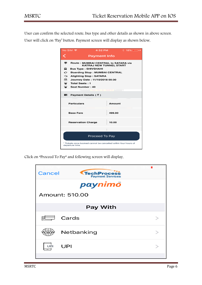User can confirm the selected route, bus type and other details as shown in above screen.

User will click on 'Pay' button. Payment screen will display as shown below,

| No SIM デ                                                                          | 4:32 PM                                                                                                                                             | $\hat{X}$ 18% $\Box$ |  |
|-----------------------------------------------------------------------------------|-----------------------------------------------------------------------------------------------------------------------------------------------------|----------------------|--|
|                                                                                   | <b>Payment Info</b>                                                                                                                                 |                      |  |
| ≠<br>◒                                                                            | <b>Route: MUMBAI CENTRAL to SATARA via</b><br><b>KATRAJ NEW TUNNEL START</b><br><b>Bus Type : SHIVSHAHI</b><br><b>Boarding Stop: MUMBAI CENTRAL</b> |                      |  |
| ⇘<br>$\mathbb{Z}$<br>⊕<br>$\bullet$                                               | <b>Alighting Stop: SATARA</b><br>Journey Date: 11/10/2018 00:30<br><b>Total Seats: 1</b><br>Seat Number: 40                                         |                      |  |
| ■ Payment Details ( ₹ )                                                           |                                                                                                                                                     |                      |  |
| <b>Particulars</b>                                                                |                                                                                                                                                     | Amount               |  |
| <b>Base Fare</b>                                                                  |                                                                                                                                                     | 499.00               |  |
| <b>Reservation Charge</b>                                                         |                                                                                                                                                     | 10.00                |  |
|                                                                                   |                                                                                                                                                     |                      |  |
| Proceed To Pay                                                                    |                                                                                                                                                     |                      |  |
| * Tickets once booked cannot be cancelled within four hours of<br>departure time. |                                                                                                                                                     |                      |  |

Click on "Proceed To Pay" and following screen will display,

| Cancel          | <b>TechProcess</b><br><b>Payment Services</b> |  |  |  |
|-----------------|-----------------------------------------------|--|--|--|
|                 | paynimö                                       |  |  |  |
|                 | Amount: 510.00                                |  |  |  |
| <b>Pay With</b> |                                               |  |  |  |
| 回               | $\equiv$ Cards                                |  |  |  |
|                 | Netbanking                                    |  |  |  |
| UPI             | UPI                                           |  |  |  |
|                 |                                               |  |  |  |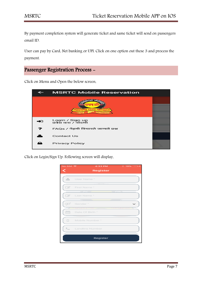By payment completion system will generate ticket and same ticket will send on passengers email ID.

User can pay by Card, Net banking or UPI. Click on one option out these 3 and process the payment.

## Passenger Registration Process -

Click on Menu and Open the below screen,

| <b>MSRTC Mobile Reservation</b>        |  |
|----------------------------------------|--|
| <u> भहाराष्ट्र र</u>                   |  |
| Login / Sign up<br>प्रवेश करा / नोंदणी |  |
| FAQs / नेहमी विचारले जाणारे प्रश्न     |  |
| <b>Contact Us</b>                      |  |
| <b>Privacy Policy</b>                  |  |

Click on Login/Sign Up. Following screen will display,

| No SIM 〒             | <b>4:33 PM</b> $\frac{1}{2}$ 19% |  |
|----------------------|----------------------------------|--|
| <                    | <b>Register</b>                  |  |
|                      | User Name *                      |  |
| $\overrightarrow{a}$ | First Name *                     |  |
| $\mathcal{A}$        | Last Name *                      |  |
| Œ                    | Gender <sup>*</sup>              |  |
| 命                    | Date Of Birth *                  |  |
| $\Box$               | Mobile Number *                  |  |
|                      | Landline Number                  |  |
|                      | Register                         |  |